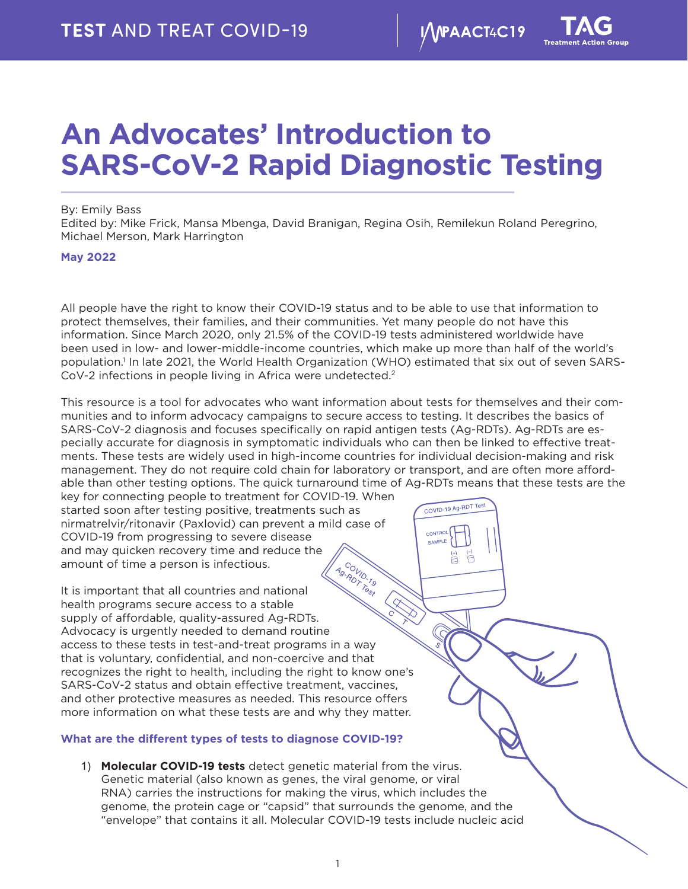COVID-19 Ag-RDT Test

A

CAMPLE

# <span id="page-0-0"></span>**An Advocates' Introduction to SARS-CoV-2 Rapid Diagnostic Testing**

## By: Emily Bass

Edited by: Mike Frick, Mansa Mbenga, David Branigan, Regina Osih, Remilekun Roland Peregrino, Michael Merson, Mark Harrington

# **May 2022**

All people have the right to know their COVID-19 status and to be able to use that information to protect themselves, their families, and their communities. Yet many people do not have this information. Since March 2020, only 21.5% of the COVID-19 tests administered worldwide have been used in low- and lower-middle-income countries, which make up more than half of the world's population[.1](#page-9-0) In late 2021, the World Health Organization (WHO) estimated that six out of seven SARS-CoV-2 infections in people living in Africa were undetected.<sup>2</sup>

This resource is a tool for advocates who want information about tests for themselves and their communities and to inform advocacy campaigns to secure access to testing. It describes the basics of SARS-CoV-2 diagnosis and focuses specifically on rapid antigen tests (Ag-RDTs). Ag-RDTs are especially accurate for diagnosis in symptomatic individuals who can then be linked to effective treatments. These tests are widely used in high-income countries for individual decision-making and risk management. They do not require cold chain for laboratory or transport, and are often more affordable than other testing options. The quick turnaround time of Ag-RDTs means that these tests are the

key for connecting people to treatment for COVID-19. When started soon after testing positive, treatments such as nirmatrelvir/ritonavir (Paxlovid) can prevent a mild case of COVID-19 from progressing to severe disease and may quicken recovery time and reduce the COVID-19 amount of time a person is infectious.

Ag-RDVID-19 It is important that all countries and national health programs secure access to a stable supply of affordable, quality-assured Ag-RDTs. Advocacy is urgently needed to demand routine access to these tests in test-and-treat programs in a way that is voluntary, confidential, and non-coercive and that recognizes the right to health, including the right to know one's SARS-CoV-2 status and obtain effective treatment, vaccines, and other protective measures as needed. This resource offers more information on what these tests are and why they matter.

# **What are the different types of tests to diagnose COVID-19?**

1) **Molecular COVID-19 tests** detect genetic material from the virus. Genetic material (also known as genes, the viral genome, or viral RNA) carries the instructions for making the virus, which includes the genome, the protein cage or "capsid" that surrounds the genome, and the "envelope" that contains it all. Molecular COVID-19 tests include nucleic acid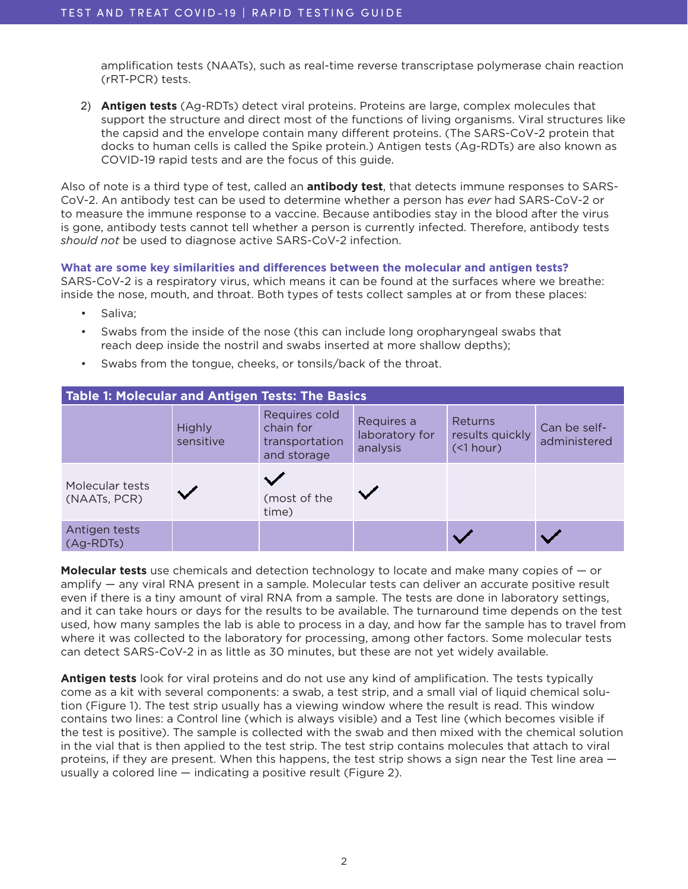amplification tests (NAATs), such as real-time reverse transcriptase polymerase chain reaction (rRT-PCR) tests.

2) **Antigen tests** (Ag-RDTs) detect viral proteins. Proteins are large, complex molecules that support the structure and direct most of the functions of living organisms. Viral structures like the capsid and the envelope contain many different proteins. (The SARS-CoV-2 protein that docks to human cells is called the Spike protein.) Antigen tests (Ag-RDTs) are also known as COVID-19 rapid tests and are the focus of this guide.

Also of note is a third type of test, called an **antibody test**, that detects immune responses to SARS-CoV-2. An antibody test can be used to determine whether a person has *ever* had SARS-CoV-2 or to measure the immune response to a vaccine. Because antibodies stay in the blood after the virus is gone, antibody tests cannot tell whether a person is currently infected. Therefore, antibody tests *should not* be used to diagnose active SARS-CoV-2 infection.

**What are some key similarities and differences between the molecular and antigen tests?**  SARS-CoV-2 is a respiratory virus, which means it can be found at the surfaces where we breathe: inside the nose, mouth, and throat. Both types of tests collect samples at or from these places:

- Saliva;
- Swabs from the inside of the nose (this can include long oropharyngeal swabs that reach deep inside the nostril and swabs inserted at more shallow depths);
- Swabs from the tongue, cheeks, or tonsils/back of the throat.

| Table 1: Molecular and Antigen Tests: The Basics |                     |                                                             |                                          |                                              |                              |  |
|--------------------------------------------------|---------------------|-------------------------------------------------------------|------------------------------------------|----------------------------------------------|------------------------------|--|
|                                                  | Highly<br>sensitive | Requires cold<br>chain for<br>transportation<br>and storage | Requires a<br>laboratory for<br>analysis | Returns<br>results quickly<br>$($ 1 hour $)$ | Can be self-<br>administered |  |
| Molecular tests<br>(NAATs, PCR)                  |                     | (most of the<br>time)                                       |                                          |                                              |                              |  |
| Antigen tests<br>$(Ag-RDTs)$                     |                     |                                                             |                                          |                                              |                              |  |

**Molecular tests** use chemicals and detection technology to locate and make many copies of — or amplify — any viral RNA present in a sample. Molecular tests can deliver an accurate positive result even if there is a tiny amount of viral RNA from a sample. The tests are done in laboratory settings, and it can take hours or days for the results to be available. The turnaround time depends on the test used, how many samples the lab is able to process in a day, and how far the sample has to travel from where it was collected to the laboratory for processing, among other factors. Some molecular tests can detect SARS-CoV-2 in as little as 30 minutes, but these are not yet widely available.

**Antigen tests** look for viral proteins and do not use any kind of amplification. The tests typically come as a kit with several components: a swab, a test strip, and a small vial of liquid chemical solution (Figure 1). The test strip usually has a viewing window where the result is read. This window contains two lines: a Control line (which is always visible) and a Test line (which becomes visible if the test is positive). The sample is collected with the swab and then mixed with the chemical solution in the vial that is then applied to the test strip. The test strip contains molecules that attach to viral proteins, if they are present. When this happens, the test strip shows a sign near the Test line area usually a colored line — indicating a positive result (Figure 2).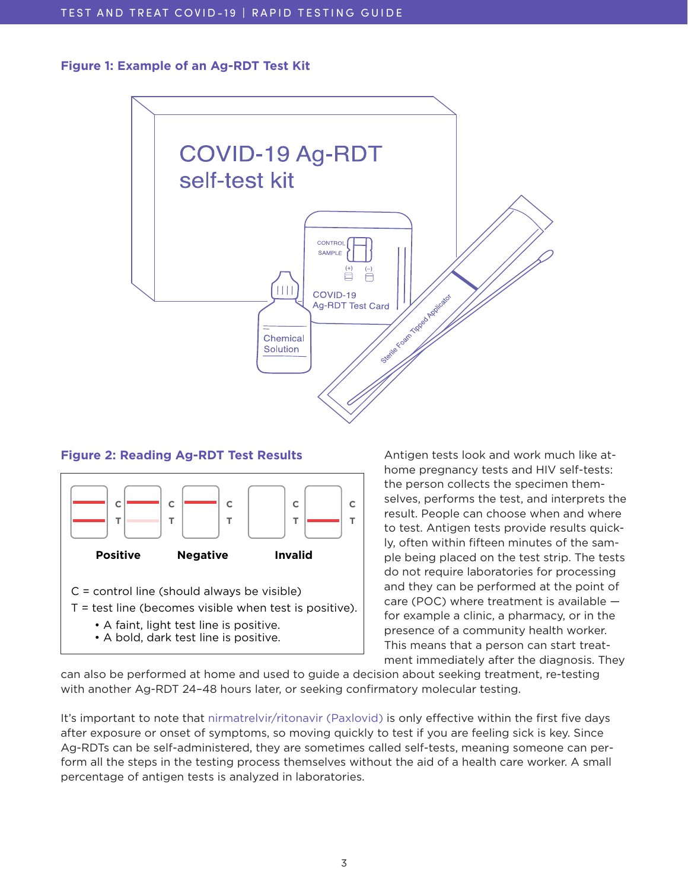# **Figure 1: Example of an Ag-RDT Test Kit**



# **Figure 2: Reading Ag-RDT Test Results Reading Ag-RDT Test Results**



Antigen tests look and work much like athome pregnancy tests and HIV self-tests: the person collects the specimen themselves, performs the test, and interprets the result. People can choose when and where to test. Antigen tests provide results quickly, often within fifteen minutes of the sample being placed on the test strip. The tests do not require laboratories for processing and they can be performed at the point of care (POC) where treatment is available for example a clinic, a pharmacy, or in the presence of a community health worker. This means that a person can start treatment immediately after the diagnosis. They

can also be performed at home and used to guide a decision about seeking treatment, re-testing with another Ag-RDT 24–48 hours later, or seeking confirmatory molecular testing.

It's important to note that [nirmatrelvir/ritonavir \(Paxlovid\)](https://www.treatmentactiongroup.org/publication/test-and-treat-covid-19-community-guide-to-paxlovid/) is only effective within the first five days after exposure or onset of symptoms, so moving quickly to test if you are feeling sick is key. Since Ag-RDTs can be self-administered, they are sometimes called self-tests, meaning someone can perform all the steps in the testing process themselves without the aid of a health care worker. A small percentage of antigen tests is analyzed in laboratories.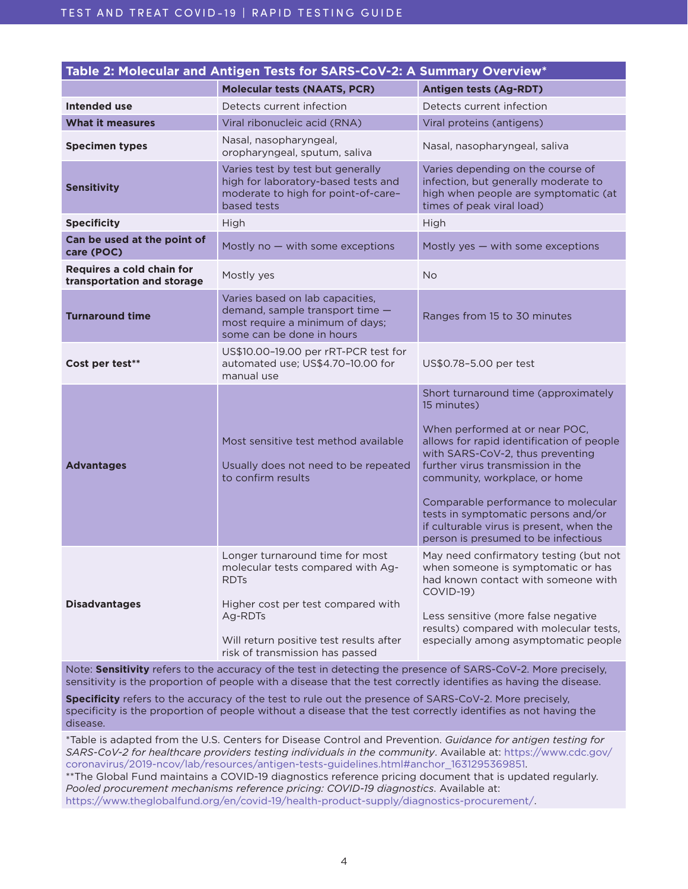| Table 2: Molecular and Antigen Tests for SARS-CoV-2: A Summary Overview* |                                                                                                                                                                                                                    |                                                                                                                                                                                                                                                                                                                                                                                                               |  |  |  |
|--------------------------------------------------------------------------|--------------------------------------------------------------------------------------------------------------------------------------------------------------------------------------------------------------------|---------------------------------------------------------------------------------------------------------------------------------------------------------------------------------------------------------------------------------------------------------------------------------------------------------------------------------------------------------------------------------------------------------------|--|--|--|
|                                                                          | <b>Molecular tests (NAATS, PCR)</b>                                                                                                                                                                                | <b>Antigen tests (Ag-RDT)</b>                                                                                                                                                                                                                                                                                                                                                                                 |  |  |  |
| Intended use                                                             | Detects current infection                                                                                                                                                                                          | Detects current infection                                                                                                                                                                                                                                                                                                                                                                                     |  |  |  |
| <b>What it measures</b>                                                  | Viral ribonucleic acid (RNA)                                                                                                                                                                                       | Viral proteins (antigens)                                                                                                                                                                                                                                                                                                                                                                                     |  |  |  |
| <b>Specimen types</b>                                                    | Nasal, nasopharyngeal,<br>oropharyngeal, sputum, saliva                                                                                                                                                            | Nasal, nasopharyngeal, saliva                                                                                                                                                                                                                                                                                                                                                                                 |  |  |  |
| <b>Sensitivity</b>                                                       | Varies test by test but generally<br>high for laboratory-based tests and<br>moderate to high for point-of-care-<br>based tests                                                                                     | Varies depending on the course of<br>infection, but generally moderate to<br>high when people are symptomatic (at<br>times of peak viral load)                                                                                                                                                                                                                                                                |  |  |  |
| <b>Specificity</b>                                                       | High                                                                                                                                                                                                               | High                                                                                                                                                                                                                                                                                                                                                                                                          |  |  |  |
| Can be used at the point of<br>care (POC)                                | Mostly no $-$ with some exceptions                                                                                                                                                                                 | Mostly yes $-$ with some exceptions                                                                                                                                                                                                                                                                                                                                                                           |  |  |  |
| Requires a cold chain for<br>transportation and storage                  | Mostly yes                                                                                                                                                                                                         | <b>No</b>                                                                                                                                                                                                                                                                                                                                                                                                     |  |  |  |
| <b>Turnaround time</b>                                                   | Varies based on lab capacities,<br>demand, sample transport time -<br>most require a minimum of days;<br>some can be done in hours                                                                                 | Ranges from 15 to 30 minutes                                                                                                                                                                                                                                                                                                                                                                                  |  |  |  |
| Cost per test**                                                          | US\$10.00-19.00 per rRT-PCR test for<br>automated use; US\$4.70-10.00 for<br>manual use                                                                                                                            | US\$0.78-5.00 per test                                                                                                                                                                                                                                                                                                                                                                                        |  |  |  |
| <b>Advantages</b>                                                        | Most sensitive test method available<br>Usually does not need to be repeated<br>to confirm results                                                                                                                 | Short turnaround time (approximately<br>15 minutes)<br>When performed at or near POC,<br>allows for rapid identification of people<br>with SARS-CoV-2, thus preventing<br>further virus transmission in the<br>community, workplace, or home<br>Comparable performance to molecular<br>tests in symptomatic persons and/or<br>if culturable virus is present, when the<br>person is presumed to be infectious |  |  |  |
| <b>Disadvantages</b>                                                     | Longer turnaround time for most<br>molecular tests compared with Ag-<br><b>RDTs</b><br>Higher cost per test compared with<br>Ag-RDTs<br>Will return positive test results after<br>risk of transmission has passed | May need confirmatory testing (but not<br>when someone is symptomatic or has<br>had known contact with someone with<br>COVID-19)<br>Less sensitive (more false negative<br>results) compared with molecular tests,<br>especially among asymptomatic people                                                                                                                                                    |  |  |  |

Note: **Sensitivity** refers to the accuracy of the test in detecting the presence of SARS-CoV-2. More precisely, sensitivity is the proportion of people with a disease that the test correctly identifies as having the disease.

**Specificity** refers to the accuracy of the test to rule out the presence of SARS-CoV-2. More precisely, specificity is the proportion of people without a disease that the test correctly identifies as not having the disease.

\*Table is adapted from the U.S. Centers for Disease Control and Prevention. *Guidance for antigen testing for SARS-CoV-2 for healthcare providers testing individuals in the community*. Available at: https://www.cdc.gov/ coronavirus/2019-ncov/lab/resources/antigen-tests-guidelines.html#anchor\_1631295369851.

\*\*The Global Fund maintains a COVID-19 diagnostics reference pricing document that is updated regularly. *Pooled procurement mechanisms reference pricing: COVID-19 diagnostics*. Available at: <https://www.theglobalfund.org/en/covid-19/health-product-supply/diagnostics-procurement/>.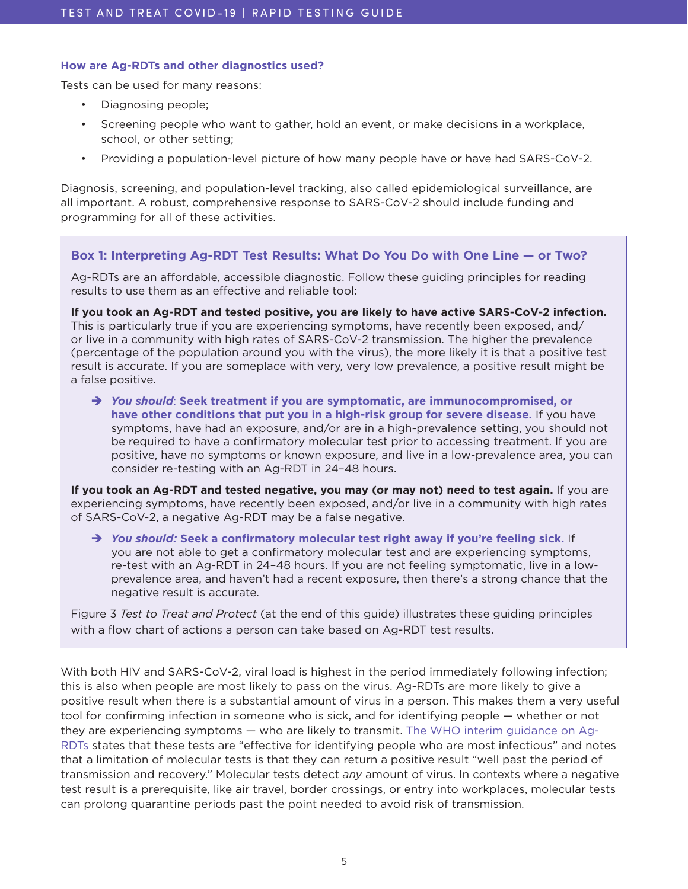# **How are Ag-RDTs and other diagnostics used?**

Tests can be used for many reasons:

- Diagnosing people;
- Screening people who want to gather, hold an event, or make decisions in a workplace, school, or other setting;
- Providing a population-level picture of how many people have or have had SARS-CoV-2.

Diagnosis, screening, and population-level tracking, also called epidemiological surveillance, are all important. A robust, comprehensive response to SARS-CoV-2 should include funding and programming for all of these activities.

# **Box 1: Interpreting Ag-RDT Test Results: What Do You Do with One Line — or Two?**

Ag-RDTs are an affordable, accessible diagnostic. Follow these guiding principles for reading results to use them as an effective and reliable tool:

**If you took an Ag-RDT and tested positive, you are likely to have active SARS-CoV-2 infection.**  This is particularly true if you are experiencing symptoms, have recently been exposed, and/ or live in a community with high rates of SARS-CoV-2 transmission. The higher the prevalence (percentage of the population around you with the virus), the more likely it is that a positive test result is accurate. If you are someplace with very, very low prevalence, a positive result might be a false positive.

 *You should*: **Seek treatment if you are symptomatic, are immunocompromised, or have other conditions that put you in a high-risk group for severe disease.** If you have symptoms, have had an exposure, and/or are in a high-prevalence setting, you should not be required to have a confirmatory molecular test prior to accessing treatment. If you are positive, have no symptoms or known exposure, and live in a low-prevalence area, you can consider re-testing with an Ag-RDT in 24–48 hours.

**If you took an Ag-RDT and tested negative, you may (or may not) need to test again.** If you are experiencing symptoms, have recently been exposed, and/or live in a community with high rates of SARS-CoV-2, a negative Ag-RDT may be a false negative.

 *You should:* **Seek a confirmatory molecular test right away if you're feeling sick.** If you are not able to get a confirmatory molecular test and are experiencing symptoms, re-test with an Ag-RDT in 24–48 hours. If you are not feeling symptomatic, live in a lowprevalence area, and haven't had a recent exposure, then there's a strong chance that the negative result is accurate.

Figure 3 *Test to Treat and Protect* (at the end of this guide) illustrates these guiding principles with a flow chart of actions a person can take based on Ag-RDT test results.

With both HIV and SARS-CoV-2, viral load is highest in the period immediately following infection; this is also when people are most likely to pass on the virus. Ag-RDTs are more likely to give a positive result when there is a substantial amount of virus in a person. This makes them a very useful tool for confirming infection in someone who is sick, and for identifying people — whether or not they are experiencing symptoms — who are likely to transmit. [The WHO interim guidance on Ag-](https://www.who.int/publications/i/item/WHO-2019-nCoV-Ag-RDTs-Self_testing-2022.1)[RDTs](https://www.who.int/publications/i/item/WHO-2019-nCoV-Ag-RDTs-Self_testing-2022.1) states that these tests are "effective for identifying people who are most infectious" and notes that a limitation of molecular tests is that they can return a positive result "well past the period of transmission and recovery." Molecular tests detect *any* amount of virus. In contexts where a negative test result is a prerequisite, like air travel, border crossings, or entry into workplaces, molecular tests can prolong quarantine periods past the point needed to avoid risk of transmission.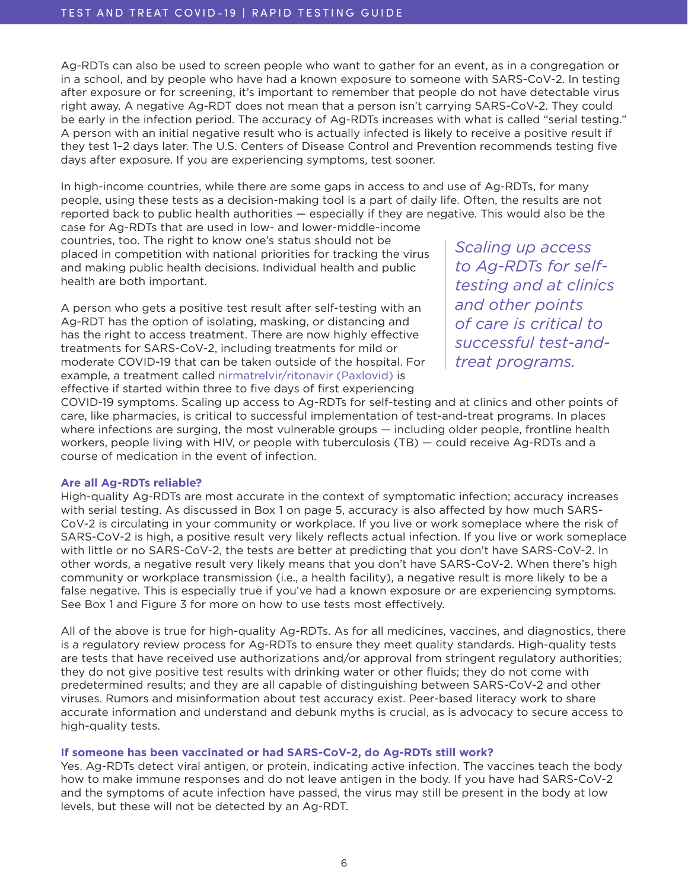Ag-RDTs can also be used to screen people who want to gather for an event, as in a congregation or in a school, and by people who have had a known exposure to someone with SARS-CoV-2. In testing after exposure or for screening, it's important to remember that people do not have detectable virus right away. A negative Ag-RDT does not mean that a person isn't carrying SARS-CoV-2. They could be early in the infection period. The accuracy of Ag-RDTs increases with what is called "serial testing." A person with an initial negative result who is actually infected is likely to receive a positive result if they test 1–2 days later. The U.S. Centers of Disease Control and Prevention recommends testing five days after exposure. If you are experiencing symptoms, test sooner.

In high-income countries, while there are some gaps in access to and use of Ag-RDTs, for many people, using these tests as a decision-making tool is a part of daily life. Often, the results are not reported back to public health authorities — especially if they are negative. This would also be the

case for Ag-RDTs that are used in low- and lower-middle-income countries, too. The right to know one's status should not be placed in competition with national priorities for tracking the virus and making public health decisions. Individual health and public health are both important.

A person who gets a positive test result after self-testing with an Ag-RDT has the option of isolating, masking, or distancing and has the right to access treatment. There are now highly effective treatments for SARS-CoV-2, including treatments for mild or moderate COVID-19 that can be taken outside of the hospital. For example, a treatment called [nirmatrelvir/ritonavir \(Paxlovid\)](https://www.treatmentactiongroup.org/publication/test-and-treat-covid-19-community-guide-to-paxlovid/) is effective if started within three to five days of first experiencing

*Scaling up access to Ag-RDTs for selftesting and at clinics and other points of care is critical to successful test-andtreat programs.* 

COVID-19 symptoms. Scaling up access to Ag-RDTs for self-testing and at clinics and other points of care, like pharmacies, is critical to successful implementation of test-and-treat programs. In places where infections are surging, the most vulnerable groups — including older people, frontline health workers, people living with HIV, or people with tuberculosis (TB) — could receive Ag-RDTs and a course of medication in the event of infection.

## **Are all Ag-RDTs reliable?**

High-quality Ag-RDTs are most accurate in the context of symptomatic infection; accuracy increases with serial testing. As discussed in Box 1 on page 5, accuracy is also affected by how much SARS-CoV-2 is circulating in your community or workplace. If you live or work someplace where the risk of SARS-CoV-2 is high, a positive result very likely reflects actual infection. If you live or work someplace with little or no SARS-CoV-2, the tests are better at predicting that you don't have SARS-CoV-2. In other words, a negative result very likely means that you don't have SARS-CoV-2. When there's high community or workplace transmission (i.e., a health facility), a negative result is more likely to be a false negative. This is especially true if you've had a known exposure or are experiencing symptoms. See Box 1 and Figure 3 for more on how to use tests most effectively.

All of the above is true for high-quality Ag-RDTs. As for all medicines, vaccines, and diagnostics, there is a regulatory review process for Ag-RDTs to ensure they meet quality standards. High-quality tests are tests that have received use authorizations and/or approval from stringent regulatory authorities; they do not give positive test results with drinking water or other fluids; they do not come with predetermined results; and they are all capable of distinguishing between SARS-CoV-2 and other viruses. Rumors and misinformation about test accuracy exist. Peer-based literacy work to share accurate information and understand and debunk myths is crucial, as is advocacy to secure access to high-quality tests.

## **If someone has been vaccinated or had SARS-CoV-2, do Ag-RDTs still work?**

Yes. Ag-RDTs detect viral antigen, or protein, indicating active infection. The vaccines teach the body how to make immune responses and do not leave antigen in the body. If you have had SARS-CoV-2 and the symptoms of acute infection have passed, the virus may still be present in the body at low levels, but these will not be detected by an Ag-RDT.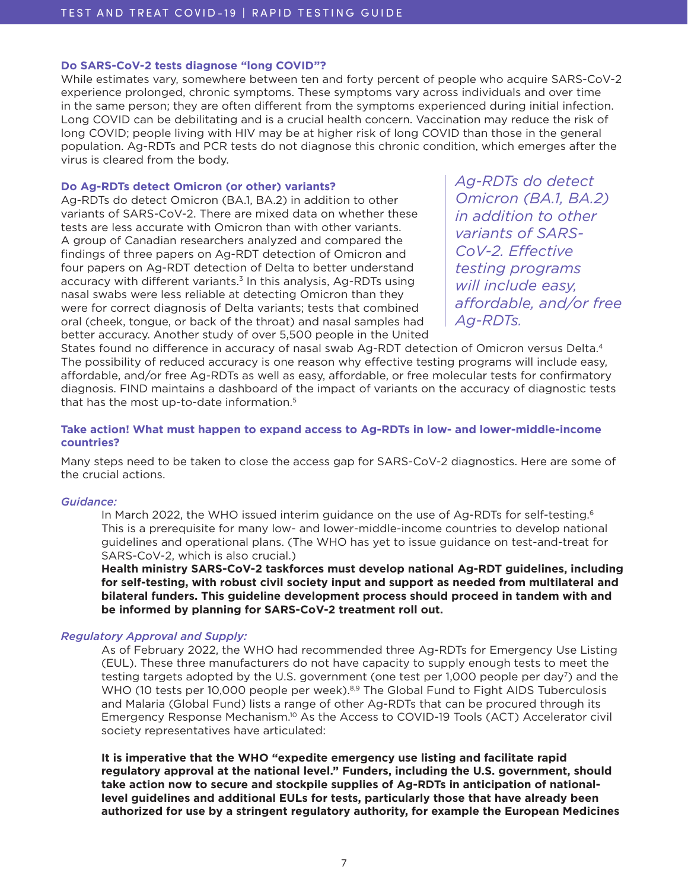# <span id="page-6-0"></span>**Do SARS-CoV-2 tests diagnose "long COVID"?**

While estimates vary, somewhere between ten and forty percent of people who acquire SARS-CoV-2 experience prolonged, chronic symptoms. These symptoms vary across individuals and over time in the same person; they are often different from the symptoms experienced during initial infection. Long COVID can be debilitating and is a crucial health concern. Vaccination may reduce the risk of long COVID; people living with HIV may be at higher risk of long COVID than those in the general population. Ag-RDTs and PCR tests do not diagnose this chronic condition, which emerges after the virus is cleared from the body.

# **Do Ag-RDTs detect Omicron (or other) variants?**

Ag-RDTs do detect Omicron (BA.1, BA.2) in addition to other variants of SARS-CoV-2. There are mixed data on whether these tests are less accurate with Omicron than with other variants. A group of Canadian researchers analyzed and compared the findings of three papers on Ag-RDT detection of Omicron and four papers on Ag-RDT detection of Delta to better understand accuracy with different variants.<sup>[3](#page-9-0)</sup> In this analysis, Ag-RDTs using nasal swabs were less reliable at detecting Omicron than they were for correct diagnosis of Delta variants; tests that combined oral (cheek, tongue, or back of the throat) and nasal samples had better accuracy. Another study of over 5,500 people in the United *Ag-RDTs do detect Omicron (BA.1, BA.2) in addition to other variants of SARS-CoV-2. Effective testing programs will include easy, affordable, and/or free Ag-RDTs.*

States found no difference in accuracy of nasal swab Ag-RDT detection of Omicron versus Delta.[4](#page-9-0) The possibility of reduced accuracy is one reason why effective testing programs will include easy, affordable, and/or free Ag-RDTs as well as easy, affordable, or free molecular tests for confirmatory diagnosis. FIND maintains a dashboard of the impact of variants on the accuracy of diagnostic tests that has the most up-to-date information[.5](#page-9-0)

# **Take action! What must happen to expand access to Ag-RDTs in low- and lower-middle-income countries?**

Many steps need to be taken to close the access gap for SARS-CoV-2 diagnostics. Here are some of the crucial actions.

# *Guidance:*

In March 2022, the WHO issued interim guidance on the use of Ag-RDTs for self-testing.<sup>[6](#page-9-0)</sup> This is a prerequisite for many low- and lower-middle-income countries to develop national guidelines and operational plans. (The WHO has yet to issue guidance on test-and-treat for SARS-CoV-2, which is also crucial.)

**Health ministry SARS-CoV-2 taskforces must develop national Ag-RDT guidelines, including for self-testing, with robust civil society input and support as needed from multilateral and bilateral funders. This guideline development process should proceed in tandem with and be informed by planning for SARS-CoV-2 treatment roll out.** 

## *Regulatory Approval and Supply:*

As of February 2022, the WHO had recommended three Ag-RDTs for Emergency Use Listing (EUL). These three manufacturers do not have capacity to supply enough tests to meet the testing targets adopted by the U.S. government (one test per 1,000 people per day<sup>7</sup>) and the WHO (10 tests per 10,000 people per week).<sup>8,9</sup> The Global Fund to Fight AIDS Tuberculosis and Malaria (Global Fund) lists a range of other Ag-RDTs that can be procured through its Emergency Response Mechanism[.10](#page-9-0) As the Access to COVID-19 Tools (ACT) Accelerator civil society representatives have articulated:

**It is imperative that the WHO "expedite emergency use listing and facilitate rapid regulatory approval at the national level." Funders, including the U.S. government, should take action now to secure and stockpile supplies of Ag-RDTs in anticipation of nationallevel guidelines and additional EULs for tests, particularly those that have already been authorized for use by a stringent regulatory authority, for example the European Medicines**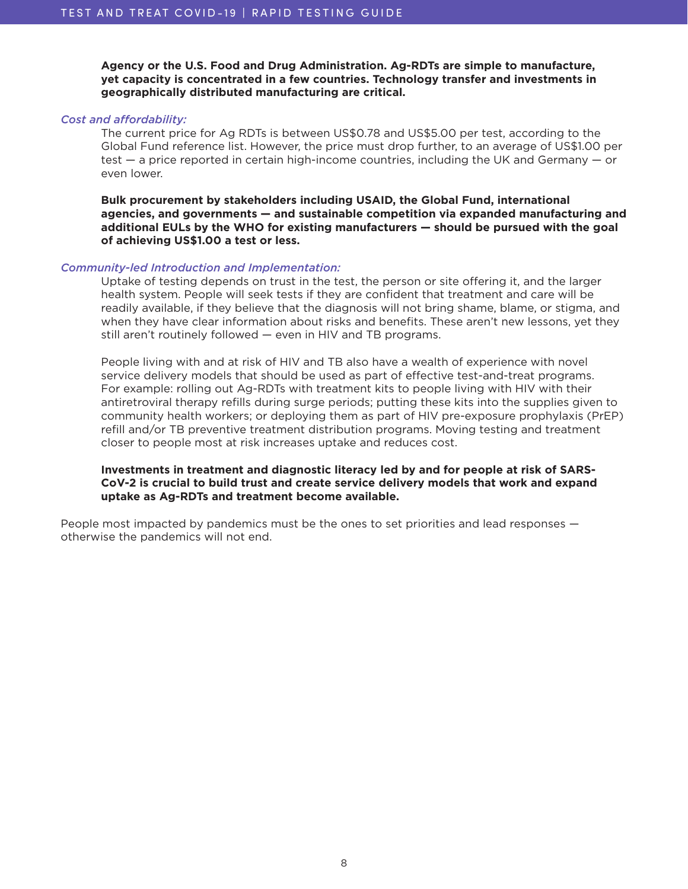**Agency or the U.S. Food and Drug Administration. Ag-RDTs are simple to manufacture, yet capacity is concentrated in a few countries. Technology transfer and investments in geographically distributed manufacturing are critical.**

#### *Cost and affordability:*

The current price for Ag RDTs is between US\$0.78 and US\$5.00 per test, according to the Global Fund reference list. However, the price must drop further, to an average of US\$1.00 per test — a price reported in certain high-income countries, including the UK and Germany — or even lower.

**Bulk procurement by stakeholders including USAID, the Global Fund, international agencies, and governments — and sustainable competition via expanded manufacturing and additional EULs by the WHO for existing manufacturers — should be pursued with the goal of achieving US\$1.00 a test or less.**

#### *Community-led Introduction and Implementation:*

Uptake of testing depends on trust in the test, the person or site offering it, and the larger health system. People will seek tests if they are confident that treatment and care will be readily available, if they believe that the diagnosis will not bring shame, blame, or stigma, and when they have clear information about risks and benefits. These aren't new lessons, yet they still aren't routinely followed — even in HIV and TB programs.

People living with and at risk of HIV and TB also have a wealth of experience with novel service delivery models that should be used as part of effective test-and-treat programs. For example: rolling out Ag-RDTs with treatment kits to people living with HIV with their antiretroviral therapy refills during surge periods; putting these kits into the supplies given to community health workers; or deploying them as part of HIV pre-exposure prophylaxis (PrEP) refill and/or TB preventive treatment distribution programs. Moving testing and treatment closer to people most at risk increases uptake and reduces cost.

# **Investments in treatment and diagnostic literacy led by and for people at risk of SARS-CoV-2 is crucial to build trust and create service delivery models that work and expand uptake as Ag-RDTs and treatment become available.**

People most impacted by pandemics must be the ones to set priorities and lead responses otherwise the pandemics will not end.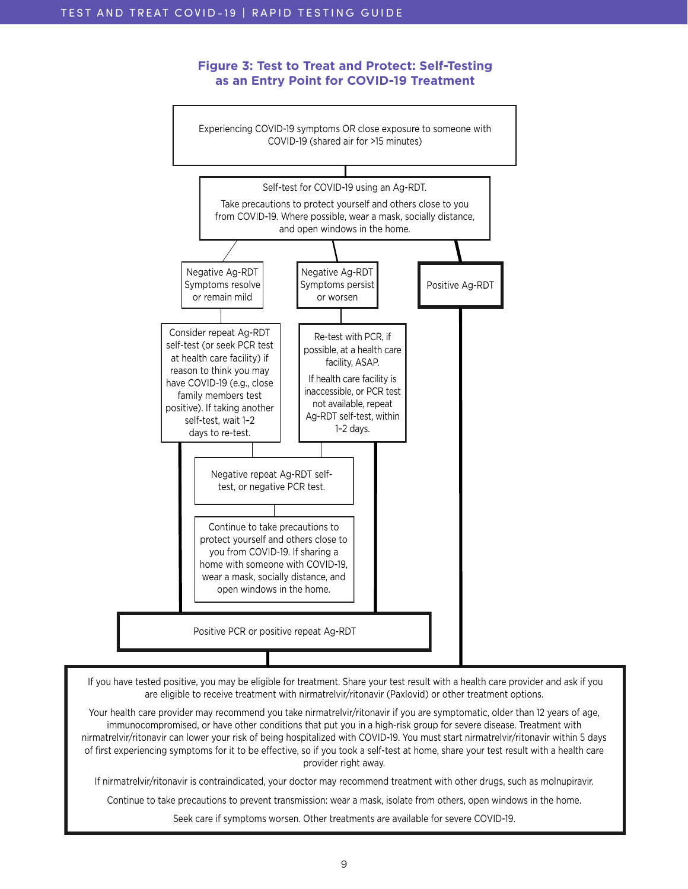# **Figure 3: Test to Treat and Protect: Self-Testing as an Entry Point for COVID-19 Treatment**



 If you have tested positive, you may be eligible for treatment. Share your test result with a health care provider and ask if you are eligible to receive treatment with nirmatrelvir/ritonavir (Paxlovid) or other treatment options.

Your health care provider may recommend you take nirmatrelvir/ritonavir if you are symptomatic, older than 12 years of age, immunocompromised, or have other conditions that put you in a high-risk group for severe disease. Treatment with nirmatrelvir/ritonavir can lower your risk of being hospitalized with COVID-19. You must start nirmatrelvir/ritonavir within 5 days of first experiencing symptoms for it to be effective, so if you took a self-test at home, share your test result with a health care provider right away.

If nirmatrelvir/ritonavir is contraindicated, your doctor may recommend treatment with other drugs, such as molnupiravir.

Continue to take precautions to prevent transmission: wear a mask, isolate from others, open windows in the home.

Seek care if symptoms worsen. Other treatments are available for severe COVID-19.